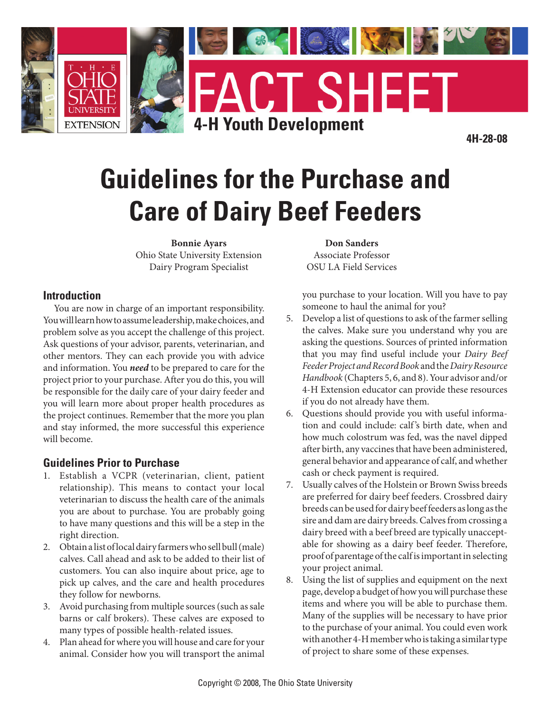

# **Guidelines for the Purchase and Care of Dairy Beef Feeders**

**Bonnie Ayars** Ohio State University Extension Dairy Program Specialist

#### **Introduction**

You are now in charge of an important responsibility. You will learn how to assume leadership, make choices, and problem solve as you accept the challenge of this project. Ask questions of your advisor, parents, veterinarian, and other mentors. They can each provide you with advice and information. You *need* to be prepared to care for the project prior to your purchase. After you do this, you will be responsible for the daily care of your dairy feeder and you will learn more about proper health procedures as the project continues. Remember that the more you plan and stay informed, the more successful this experience will become.

#### **Guidelines Prior to Purchase**

- 1. Establish a VCPR (veterinarian, client, patient relationship). This means to contact your local veterinarian to discuss the health care of the animals you are about to purchase. You are probably going to have many questions and this will be a step in the right direction.
- Obtain a list of local dairy farmers who sell bull (male) 2. calves. Call ahead and ask to be added to their list of customers. You can also inquire about price, age to pick up calves, and the care and health procedures they follow for newborns.
- Avoid purchasing from multiple sources (such as sale 3. barns or calf brokers). These calves are exposed to many types of possible health-related issues.
- Plan ahead for where you will house and care for your 4. animal. Consider how you will transport the animal

**Don Sanders** Associate Professor OSU LA Field Services

you purchase to your location. Will you have to pay someone to haul the animal for you?

- Develop a list of questions to ask of the farmer selling 5. the calves. Make sure you understand why you are asking the questions. Sources of printed information that you may find useful include your *Dairy Beef Feeder Project and Record Book* and the *Dairy Resource Handbook* (Chapters 5, 6, and 8). Your advisor and/or 4-H Extension educator can provide these resources if you do not already have them.
- Questions should provide you with useful informa-6. tion and could include: calf 's birth date, when and how much colostrum was fed, was the navel dipped after birth, any vaccines that have been administered, general behavior and appearance of calf, and whether cash or check payment is required.
- Usually calves of the Holstein or Brown Swiss breeds 7. are preferred for dairy beef feeders. Crossbred dairy breeds can be used for dairy beef feeders as long as the sire and dam are dairy breeds. Calves from crossing a dairy breed with a beef breed are typically unacceptable for showing as a dairy beef feeder. Therefore, proof of parentage of the calf is important in selecting your project animal.
- Using the list of supplies and equipment on the next page, develop a budget of how you will purchase these items and where you will be able to purchase them. Many of the supplies will be necessary to have prior to the purchase of your animal. You could even work with another 4-H member who is taking a similar type of project to share some of these expenses. 8.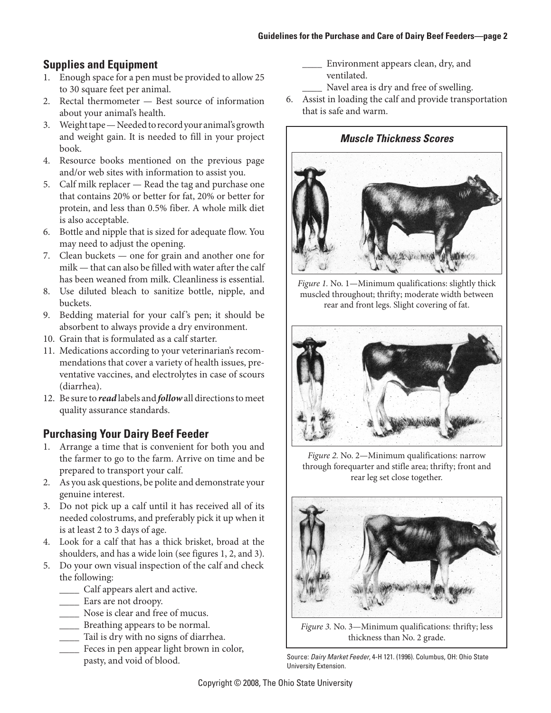# **Supplies and Equipment**

- Enough space for a pen must be provided to allow 25 1. to 30 square feet per animal.
- 2. Rectal thermometer Best source of information about your animal's health.
- Weight tape Needed to record your animal's growth 3. and weight gain. It is needed to fill in your project book.
- Resource books mentioned on the previous page 4. and/or web sites with information to assist you.
- Calf milk replacer Read the tag and purchase one 5. that contains 20% or better for fat, 20% or better for protein, and less than 0.5% fiber. A whole milk diet is also acceptable.
- 6. Bottle and nipple that is sized for adequate flow. You may need to adjust the opening.
- 7. Clean buckets one for grain and another one for milk — that can also be filled with water after the calf has been weaned from milk. Cleanliness is essential.
- Use diluted bleach to sanitize bottle, nipple, and 8. buckets.
- Bedding material for your calf 's pen; it should be 9. absorbent to always provide a dry environment.
- Grain that is formulated as a calf starter. 10.
- 11. Medications according to your veterinarian's recommendations that cover a variety of health issues, preventative vaccines, and electrolytes in case of scours (diarrhea).
- 12. Be sure to *read* labels and *follow* all directions to meet quality assurance standards.

# **Purchasing Your Dairy Beef Feeder**

- Arrange a time that is convenient for both you and 1. the farmer to go to the farm. Arrive on time and be prepared to transport your calf.
- As you ask questions, be polite and demonstrate your 2. genuine interest.
- Do not pick up a calf until it has received all of its 3. needed colostrums, and preferably pick it up when it is at least 2 to 3 days of age.
- Look for a calf that has a thick brisket, broad at the 4. shoulders, and has a wide loin (see figures 1, 2, and 3).
- Do your own visual inspection of the calf and check 5. the following:
	- \_\_\_\_ Calf appears alert and active.
	- \_\_\_\_ Ears are not droopy.
	- \_\_\_\_ Nose is clear and free of mucus.
	- \_\_\_\_ Breathing appears to be normal.
	- \_\_\_\_ Tail is dry with no signs of diarrhea.
	- \_\_\_\_ Feces in pen appear light brown in color, pasty, and void of blood.
- \_\_\_\_ Environment appears clean, dry, and ventilated.
	- Navel area is dry and free of swelling.
- Assist in loading the calf and provide transportation 6. that is safe and warm.

#### *Muscle Thickness Scores*



*Figure 1.* No. 1—Minimum qualifications: slightly thick muscled throughout; thrifty; moderate width between rear and front legs. Slight covering of fat.



*Figure 2.* No. 2—Minimum qualifications: narrow through forequarter and stifle area; thrifty; front and rear leg set close together.



*Figure 3.* No. 3—Minimum qualifications: thrifty; less thickness than No. 2 grade.

Source: *Dairy Market Feeder*, 4-H 121. (1996). Columbus, OH: Ohio State University Extension.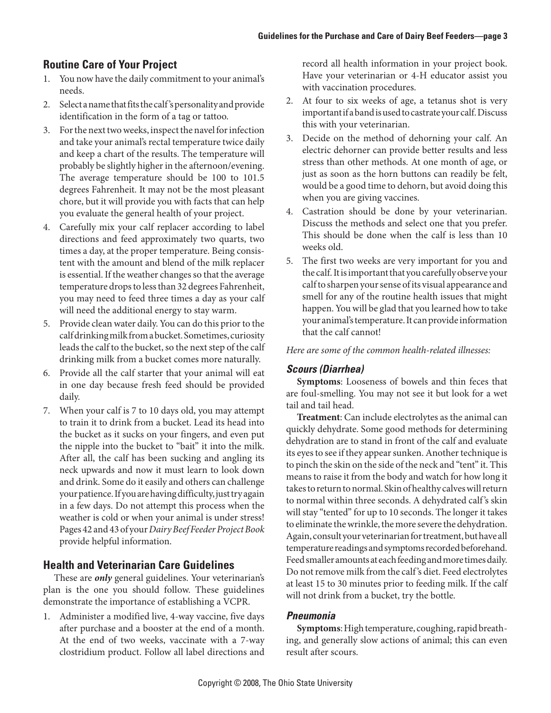### **Routine Care of Your Project**

- 1. You now have the daily commitment to your animal's needs.
- 2. Select a name that fits the calf's personality and provide identification in the form of a tag or tattoo.
- 3. For the next two weeks, inspect the navel for infection and take your animal's rectal temperature twice daily and keep a chart of the results. The temperature will probably be slightly higher in the afternoon/evening. The average temperature should be 100 to 101.5 degrees Fahrenheit. It may not be the most pleasant chore, but it will provide you with facts that can help you evaluate the general health of your project.
- Carefully mix your calf replacer according to label 4. directions and feed approximately two quarts, two times a day, at the proper temperature. Being consistent with the amount and blend of the milk replacer is essential. If the weather changes so that the average temperature drops to less than 32 degrees Fahrenheit, you may need to feed three times a day as your calf will need the additional energy to stay warm.
- Provide clean water daily. You can do this prior to the 5. calf drinking milk from a bucket. Sometimes, curiosity leads the calf to the bucket, so the next step of the calf drinking milk from a bucket comes more naturally.
- Provide all the calf starter that your animal will eat 6. in one day because fresh feed should be provided daily.
- When your calf is 7 to 10 days old, you may attempt 7. to train it to drink from a bucket. Lead its head into the bucket as it sucks on your fingers, and even put the nipple into the bucket to "bait" it into the milk. After all, the calf has been sucking and angling its neck upwards and now it must learn to look down and drink. Some do it easily and others can challenge your patience. If you are having difficulty, just try again in a few days. Do not attempt this process when the weather is cold or when your animal is under stress! Pages 42 and 43 of your *Dairy Beef Feeder Project Book* provide helpful information.

#### **Health and Veterinarian Care Guidelines**

These are *only* general guidelines. Your veterinarian's plan is the one you should follow. These guidelines demonstrate the importance of establishing a VCPR.

Administer a modified live, 4-way vaccine, five days 1. after purchase and a booster at the end of a month. At the end of two weeks, vaccinate with a 7-way clostridium product. Follow all label directions and

record all health information in your project book. Have your veterinarian or 4-H educator assist you with vaccination procedures.

- At four to six weeks of age, a tetanus shot is very 2. important if a band is used to castrate your calf. Discuss this with your veterinarian.
- Decide on the method of dehorning your calf. An 3. electric dehorner can provide better results and less stress than other methods. At one month of age, or just as soon as the horn buttons can readily be felt, would be a good time to dehorn, but avoid doing this when you are giving vaccines.
- Castration should be done by your veterinarian. 4. Discuss the methods and select one that you prefer. This should be done when the calf is less than 10 weeks old.
- The first two weeks are very important for you and 5. the calf. It is important that you carefully observe your calf to sharpen your sense of its visual appearance and smell for any of the routine health issues that might happen. You will be glad that you learned how to take your animal's temperature. It can provide information that the calf cannot!

*Here are some of the common health-related illnesses:*

#### *Scours (Diarrhea)*

**Symptoms**: Looseness of bowels and thin feces that are foul-smelling. You may not see it but look for a wet tail and tail head.

**Treatment**: Can include electrolytes as the animal can quickly dehydrate. Some good methods for determining dehydration are to stand in front of the calf and evaluate its eyes to see if they appear sunken. Another technique is to pinch the skin on the side of the neck and "tent" it. This means to raise it from the body and watch for how long it takes to return to normal. Skin of healthy calves will return to normal within three seconds. A dehydrated calf 's skin will stay "tented" for up to 10 seconds. The longer it takes to eliminate the wrinkle, the more severe the dehydration. Again, consult your veterinarian for treatment, but have all temperature readings and symptoms recorded beforehand. Feed smaller amounts at each feeding and more times daily. Do not remove milk from the calf 's diet. Feed electrolytes at least 15 to 30 minutes prior to feeding milk. If the calf will not drink from a bucket, try the bottle.

#### *Pneumonia*

**Symptoms**: High temperature, coughing, rapid breathing, and generally slow actions of animal; this can even result after scours.